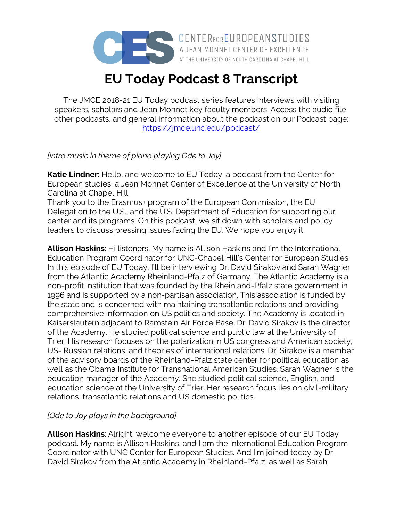

A JEAN MONNET CENTER OF EXCELLENCE AT THE UNIVERSITY OF NORTH CAROLINA AT CHAPEL HILL

# **EU Today Podcast 8 Transcript**

The JMCE 2018-21 EU Today podcast series features interviews with visiting speakers, scholars and Jean Monnet key faculty members. Access the audio file, other podcasts, and general information about the podcast on our Podcast page: https://jmce.unc.edu/podcast/

### *[Intro music in theme of piano playing Ode to Joy]*

**Katie Lindner:** Hello, and welcome to EU Today, a podcast from the Center for European studies, a Jean Monnet Center of Excellence at the University of North Carolina at Chapel Hill.

Thank you to the Erasmus+ program of the European Commission, the EU Delegation to the U.S., and the U.S. Department of Education for supporting our center and its programs. On this podcast, we sit down with scholars and policy leaders to discuss pressing issues facing the EU. We hope you enjoy it.

**Allison Haskins**: Hi listeners. My name is Allison Haskins and I'm the International Education Program Coordinator for UNC-Chapel Hill's Center for European Studies. In this episode of EU Today, I'll be interviewing Dr. David Sirakov and Sarah Wagner from the Atlantic Academy Rheinland-Pfalz of Germany. The Atlantic Academy is a non-profit institution that was founded by the Rheinland-Pfalz state government in 1996 and is supported by a non-partisan association. This association is funded by the state and is concerned with maintaining transatlantic relations and providing comprehensive information on US politics and society. The Academy is located in Kaiserslautern adjacent to Ramstein Air Force Base. Dr. David Sirakov is the director of the Academy. He studied political science and public law at the University of Trier. His research focuses on the polarization in US congress and American society, US- Russian relations, and theories of international relations. Dr. Sirakov is a member of the advisory boards of the Rheinland-Pfalz state center for political education as well as the Obama Institute for Transnational American Studies. Sarah Wagner is the education manager of the Academy. She studied political science, English, and education science at the University of Trier. Her research focus lies on civil-military relations, transatlantic relations and US domestic politics.

#### *[Ode to Joy plays in the background]*

**Allison Haskins**: Alright, welcome everyone to another episode of our EU Today podcast. My name is Allison Haskins, and I am the International Education Program Coordinator with UNC Center for European Studies. And I'm joined today by Dr. David Sirakov from the Atlantic Academy in Rheinland-Pfalz, as well as Sarah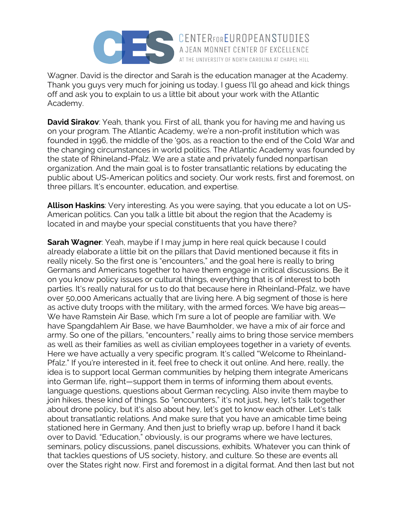

Wagner. David is the director and Sarah is the education manager at the Academy. Thank you guys very much for joining us today. I guess I'll go ahead and kick things off and ask you to explain to us a little bit about your work with the Atlantic Academy.

**David Sirakov**: Yeah, thank you. First of all, thank you for having me and having us on your program. The Atlantic Academy, we're a non-profit institution which was founded in 1996, the middle of the '90s, as a reaction to the end of the Cold War and the changing circumstances in world politics. The Atlantic Academy was founded by the state of Rhineland-Pfalz. We are a state and privately funded nonpartisan organization. And the main goal is to foster transatlantic relations by educating the public about US-American politics and society. Our work rests, first and foremost, on three pillars. It's encounter, education, and expertise.

**Allison Haskins**: Very interesting. As you were saying, that you educate a lot on US-American politics. Can you talk a little bit about the region that the Academy is located in and maybe your special constituents that you have there?

**Sarah Wagner**: Yeah, maybe if I may jump in here real quick because I could already elaborate a little bit on the pillars that David mentioned because it fits in really nicely. So the first one is "encounters," and the goal here is really to bring Germans and Americans together to have them engage in critical discussions. Be it on you know policy issues or cultural things, everything that is of interest to both parties. It's really natural for us to do that because here in Rheinland-Pfalz, we have over 50,000 Americans actually that are living here. A big segment of those is here as active duty troops with the military, with the armed forces. We have big areas— We have Ramstein Air Base, which I'm sure a lot of people are familiar with. We have Spangdahlem Air Base, we have Baumholder, we have a mix of air force and army. So one of the pillars, "encounters," really aims to bring those service members as well as their families as well as civilian employees together in a variety of events. Here we have actually a very specific program. It's called "Welcome to Rheinland-Pfalz." If you're interested in it, feel free to check it out online. And here, really, the idea is to support local German communities by helping them integrate Americans into German life, right—support them in terms of informing them about events, language questions, questions about German recycling. Also invite them maybe to join hikes, these kind of things. So "encounters," it's not just, hey, let's talk together about drone policy, but it's also about hey, let's get to know each other. Let's talk about transatlantic relations. And make sure that you have an amicable time being stationed here in Germany. And then just to briefly wrap up, before I hand it back over to David. "Education," obviously, is our programs where we have lectures, seminars, policy discussions, panel discussions, exhibits. Whatever you can think of that tackles questions of US society, history, and culture. So these are events all over the States right now. First and foremost in a digital format. And then last but not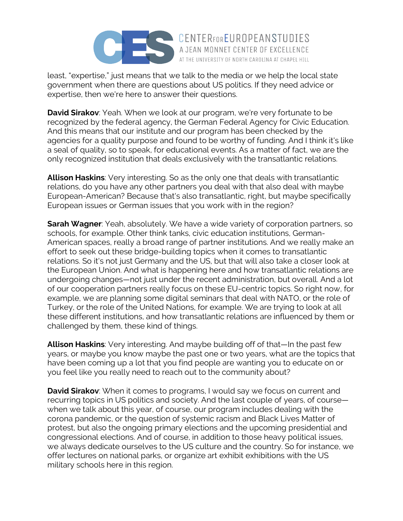

least, "expertise," just means that we talk to the media or we help the local state government when there are questions about US politics. If they need advice or expertise, then we're here to answer their questions.

**David Sirakov**: Yeah. When we look at our program, we're very fortunate to be recognized by the federal agency, the German Federal Agency for Civic Education. And this means that our institute and our program has been checked by the agencies for a quality purpose and found to be worthy of funding. And I think it's like a seal of quality, so to speak, for educational events. As a matter of fact, we are the only recognized institution that deals exclusively with the transatlantic relations.

**Allison Haskins**: Very interesting. So as the only one that deals with transatlantic relations, do you have any other partners you deal with that also deal with maybe European-American? Because that's also transatlantic, right, but maybe specifically European issues or German issues that you work with in the region?

**Sarah Wagner**: Yeah, absolutely. We have a wide variety of corporation partners, so schools, for example. Other think tanks, civic education institutions, German-American spaces, really a broad range of partner institutions. And we really make an effort to seek out these bridge-building topics when it comes to transatlantic relations. So it's not just Germany and the US, but that will also take a closer look at the European Union. And what is happening here and how transatlantic relations are undergoing changes—not just under the recent administration, but overall. And a lot of our cooperation partners really focus on these EU-centric topics. So right now, for example, we are planning some digital seminars that deal with NATO, or the role of Turkey, or the role of the United Nations, for example. We are trying to look at all these different institutions, and how transatlantic relations are influenced by them or challenged by them, these kind of things.

**Allison Haskins**: Very interesting. And maybe building off of that—In the past few years, or maybe you know maybe the past one or two years, what are the topics that have been coming up a lot that you find people are wanting you to educate on or you feel like you really need to reach out to the community about?

**David Sirakov**: When it comes to programs, I would say we focus on current and recurring topics in US politics and society. And the last couple of years, of course when we talk about this year, of course, our program includes dealing with the corona pandemic, or the question of systemic racism and Black Lives Matter of protest, but also the ongoing primary elections and the upcoming presidential and congressional elections. And of course, in addition to those heavy political issues, we always dedicate ourselves to the US culture and the country. So for instance, we offer lectures on national parks, or organize art exhibit exhibitions with the US military schools here in this region.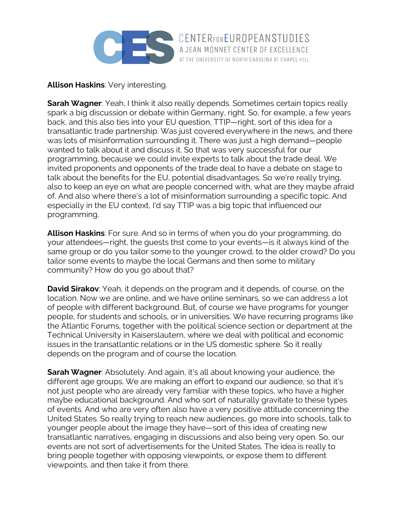

**Allison Haskins**: Very interesting.

**Sarah Wagner**: Yeah, I think it also really depends. Sometimes certain topics really spark a big discussion or debate within Germany, right. So, for example, a few years back, and this also ties into your EU question, TTIP—right, sort of this idea for a transatlantic trade partnership. Was just covered everywhere in the news, and there was lots of misinformation surrounding it. There was just a high demand—people wanted to talk about it and discuss it. So that was very successful for our programming, because we could invite experts to talk about the trade deal. We invited proponents and opponents of the trade deal to have a debate on stage to talk about the benefits for the EU, potential disadvantages. So we're really trying, also to keep an eye on what are people concerned with, what are they maybe afraid of. And also where there's a lot of misinformation surrounding a specific topic. And especially in the EU context, I'd say TTIP was a big topic that influenced our programming.

**Allison Haskins**: For sure. And so in terms of when you do your programming, do your attendees—right, the guests thst come to your events—is it always kind of the same group or do you tailor some to the younger crowd, to the older crowd? Do you tailor some events to maybe the local Germans and then some to military community? How do you go about that?

**David Sirakov**: Yeah, it depends on the program and it depends, of course, on the location. Now we are online, and we have online seminars, so we can address a lot of people with different background. But, of course we have programs for younger people, for students and schools, or in universities. We have recurring programs like the Atlantic Forums, together with the political science section or department at the Technical University in Kaiserslautern, where we deal with political and economic issues in the transatlantic relations or in the US domestic sphere. So it really depends on the program and of course the location.

**Sarah Wagner**: Absolutely. And again, it's all about knowing your audience, the different age groups. We are making an effort to expand our audience, so that it's not just people who are already very familiar with these topics, who have a higher maybe educational background. And who sort of naturally gravitate to these types of events. And who are very often also have a very positive attitude concerning the United States. So really trying to reach new audiences, go more into schools, talk to younger people about the image they have—sort of this idea of creating new transatlantic narratives, engaging in discussions and also being very open. So, our events are not sort of advertisements for the United States. The idea is really to bring people together with opposing viewpoints, or expose them to different viewpoints, and then take it from there.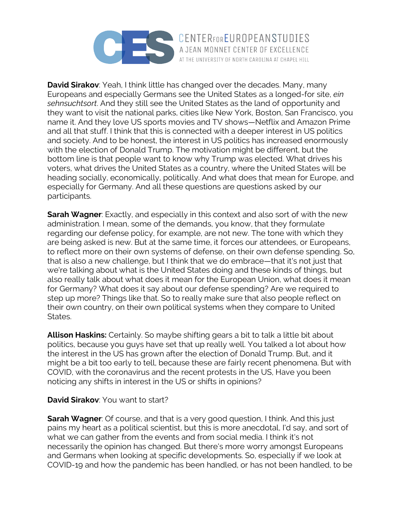

**David Sirakov**: Yeah, I think little has changed over the decades. Many, many Europeans and especially Germans see the United States as a longed-for site, *ein sehnsuchtsort*. And they still see the United States as the land of opportunity and they want to visit the national parks, cities like New York, Boston, San Francisco, you name it. And they love US sports movies and TV shows—Netflix and Amazon Prime and all that stuff. I think that this is connected with a deeper interest in US politics and society. And to be honest, the interest in US politics has increased enormously with the election of Donald Trump. The motivation might be different, but the bottom line is that people want to know why Trump was elected. What drives his voters, what drives the United States as a country, where the United States will be heading socially, economically, politically. And what does that mean for Europe, and especially for Germany. And all these questions are questions asked by our participants.

**Sarah Wagner**: Exactly, and especially in this context and also sort of with the new administration. I mean, some of the demands, you know, that they formulate regarding our defense policy, for example, are not new. The tone with which they are being asked is new. But at the same time, it forces our attendees, or Europeans, to reflect more on their own systems of defense, on their own defense spending. So, that is also a new challenge, but I think that we do embrace—that it's not just that we're talking about what is the United States doing and these kinds of things, but also really talk about what does it mean for the European Union, what does it mean for Germany? What does it say about our defense spending? Are we required to step up more? Things like that. So to really make sure that also people reflect on their own country, on their own political systems when they compare to United States.

**Allison Haskins:** Certainly. So maybe shifting gears a bit to talk a little bit about politics, because you guys have set that up really well. You talked a lot about how the interest in the US has grown after the election of Donald Trump. But, and it might be a bit too early to tell, because these are fairly recent phenomena. But with COVID, with the coronavirus and the recent protests in the US, Have you been noticing any shifts in interest in the US or shifts in opinions?

#### **David Sirakov**: You want to start?

**Sarah Wagner**: Of course, and that is a very good question, I think. And this just pains my heart as a political scientist, but this is more anecdotal, I'd say, and sort of what we can gather from the events and from social media. I think it's not necessarily the opinion has changed. But there's more worry amongst Europeans and Germans when looking at specific developments. So, especially if we look at COVID-19 and how the pandemic has been handled, or has not been handled, to be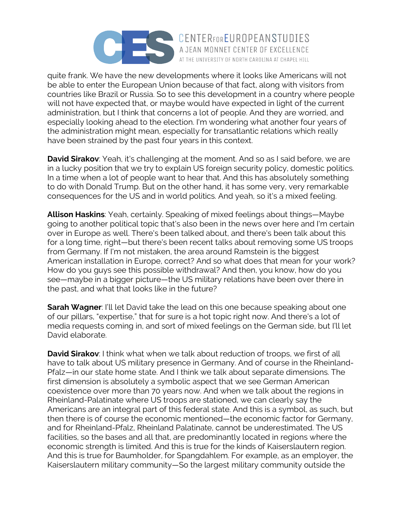

quite frank. We have the new developments where it looks like Americans will not be able to enter the European Union because of that fact, along with visitors from countries like Brazil or Russia. So to see this development in a country where people will not have expected that, or maybe would have expected in light of the current administration, but I think that concerns a lot of people. And they are worried, and especially looking ahead to the election. I'm wondering what another four years of the administration might mean, especially for transatlantic relations which really have been strained by the past four years in this context.

**David Sirakov**: Yeah, it's challenging at the moment. And so as I said before, we are in a lucky position that we try to explain US foreign security policy, domestic politics. In a time when a lot of people want to hear that. And this has absolutely something to do with Donald Trump. But on the other hand, it has some very, very remarkable consequences for the US and in world politics. And yeah, so it's a mixed feeling.

**Allison Haskins**: Yeah, certainly. Speaking of mixed feelings about things—Maybe going to another political topic that's also been in the news over here and I'm certain over in Europe as well. There's been talked about, and there's been talk about this for a long time, right—but there's been recent talks about removing some US troops from Germany. If I'm not mistaken, the area around Ramstein is the biggest American installation in Europe, correct? And so what does that mean for your work? How do you guys see this possible withdrawal? And then, you know, how do you see—maybe in a bigger picture—the US military relations have been over there in the past, and what that looks like in the future?

**Sarah Wagner**: I'll let David take the lead on this one because speaking about one of our pillars, "expertise," that for sure is a hot topic right now. And there's a lot of media requests coming in, and sort of mixed feelings on the German side, but I'll let David elaborate.

**David Sirakov**: I think what when we talk about reduction of troops, we first of all have to talk about US military presence in Germany. And of course in the Rheinland-Pfalz—in our state home state. And I think we talk about separate dimensions. The first dimension is absolutely a symbolic aspect that we see German American coexistence over more than 70 years now. And when we talk about the regions in Rheinland-Palatinate where US troops are stationed, we can clearly say the Americans are an integral part of this federal state. And this is a symbol, as such, but then there is of course the economic mentioned—the economic factor for Germany, and for Rheinland-Pfalz, Rheinland Palatinate, cannot be underestimated. The US facilities, so the bases and all that, are predominantly located in regions where the economic strength is limited. And this is true for the kinds of Kaiserslautern region. And this is true for Baumholder, for Spangdahlem. For example, as an employer, the Kaiserslautern military community—So the largest military community outside the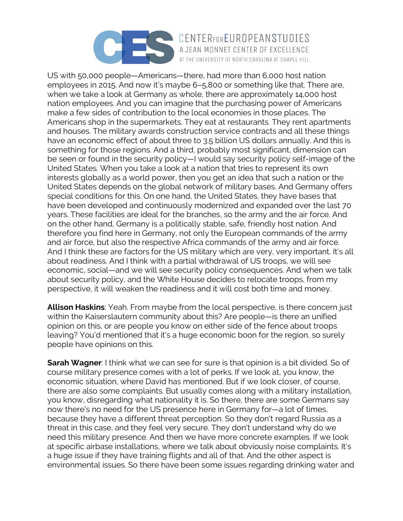

## CENTERFOREUROPEANSTUDIES AT THE UNIVERSITY OF NORTH CAROLINA AT CHAPEL HILL

US with 50,000 people—Americans—there, had more than 6,000 host nation employees in 2015. And now it's maybe 6–5,800 or something like that. There are, when we take a look at Germany as whole, there are approximately 14,000 host nation employees. And you can imagine that the purchasing power of Americans make a few sides of contribution to the local economies in those places. The Americans shop in the supermarkets. They eat at restaurants. They rent apartments and houses. The military awards construction service contracts and all these things have an economic effect of about three to 3.5 billion US dollars annually. And this is something for those regions. And a third, probably most significant, dimension can be seen or found in the security policy—I would say security policy self-image of the United States. When you take a look at a nation that tries to represent its own interests globally as a world power, then you get an idea that such a nation or the United States depends on the global network of military bases. And Germany offers special conditions for this. On one hand, the United States, they have bases that have been developed and continuously modernized and expanded over the last 70 years. These facilities are ideal for the branches, so the army and the air force. And on the other hand, Germany is a politically stable, safe, friendly host nation. And therefore you find here in Germany, not only the European commands of the army and air force, but also the respective Africa commands of the army and air force. And I think these are factors for the US military which are very, very important. It's all about readiness. And I think with a partial withdrawal of US troops, we will see economic, social—and we will see security policy consequences. And when we talk about security policy, and the White House decides to relocate troops, from my perspective, it will weaken the readiness and it will cost both time and money.

**Allison Haskins**: Yeah. From maybe from the local perspective, is there concern just within the Kaiserslautern community about this? Are people—is there an unified opinion on this, or are people you know on either side of the fence about troops leaving? You'd mentioned that it's a huge economic boon for the region, so surely people have opinions on this.

**Sarah Wagner**: I think what we can see for sure is that opinion is a bit divided. So of course military presence comes with a lot of perks. If we look at, you know, the economic situation, where David has mentioned. But if we look closer, of course, there are also some complaints. But usually comes along with a military installation, you know, disregarding what nationality it is. So there, there are some Germans say now there's no need for the US presence here in Germany for—a lot of times, because they have a different threat perception. So they don't regard Russia as a threat in this case, and they feel very secure. They don't understand why do we need this military presence. And then we have more concrete examples. If we look at specific airbase installations, where we talk about obviously noise complaints. It's a huge issue if they have training flights and all of that. And the other aspect is environmental issues. So there have been some issues regarding drinking water and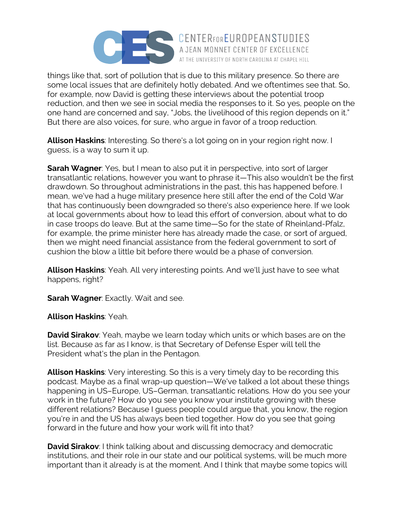

things like that, sort of pollution that is due to this military presence. So there are some local issues that are definitely hotly debated. And we oftentimes see that. So, for example, now David is getting these interviews about the potential troop reduction, and then we see in social media the responses to it. So yes, people on the one hand are concerned and say, "Jobs, the livelihood of this region depends on it." But there are also voices, for sure, who argue in favor of a troop reduction.

**Allison Haskins**: Interesting. So there's a lot going on in your region right now. I guess, is a way to sum it up.

**Sarah Wagner**: Yes, but I mean to also put it in perspective, into sort of larger transatlantic relations, however you want to phrase it—This also wouldn't be the first drawdown. So throughout administrations in the past, this has happened before. I mean, we've had a huge military presence here still after the end of the Cold War that has continuously been downgraded so there's also experience here. If we look at local governments about how to lead this effort of conversion, about what to do in case troops do leave. But at the same time—So for the state of Rheinland-Pfalz, for example, the prime minister here has already made the case, or sort of argued, then we might need financial assistance from the federal government to sort of cushion the blow a little bit before there would be a phase of conversion.

**Allison Haskins**: Yeah. All very interesting points. And we'll just have to see what happens, right?

**Sarah Wagner**: Exactly. Wait and see.

**Allison Haskins**: Yeah.

**David Sirakov**: Yeah, maybe we learn today which units or which bases are on the list. Because as far as I know, is that Secretary of Defense Esper will tell the President what's the plan in the Pentagon.

**Allison Haskins**: Very interesting. So this is a very timely day to be recording this podcast. Maybe as a final wrap-up question—We've talked a lot about these things happening in US–Europe, US–German, transatlantic relations. How do you see your work in the future? How do you see you know your institute growing with these different relations? Because I guess people could argue that, you know, the region you're in and the US has always been tied together. How do you see that going forward in the future and how your work will fit into that?

**David Sirakov**: I think talking about and discussing democracy and democratic institutions, and their role in our state and our political systems, will be much more important than it already is at the moment. And I think that maybe some topics will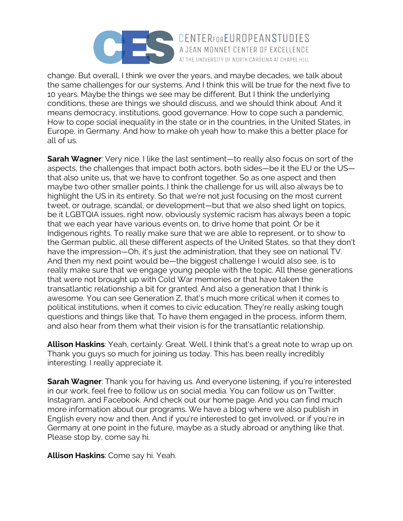

change. But overall, I think we over the years, and maybe decades, we talk about the same challenges for our systems. And I think this will be true for the next five to 10 years. Maybe the things we see may be different. But I think the underlying conditions, these are things we should discuss, and we should think about. And it means democracy, institutions, good governance. How to cope such a pandemic, How to cope social inequality in the state or in the countries, in the United States, in Europe, in Germany. And how to make oh yeah how to make this a better place for all of us.

**Sarah Wagner**: Very nice. I like the last sentiment—to really also focus on sort of the aspects, the challenges that impact both actors, both sides—be it the EU or the US that also unite us, that we have to confront together. So as one aspect and then maybe two other smaller points. I think the challenge for us will also always be to highlight the US in its entirety. So that we're not just focusing on the most current tweet, or outrage, scandal, or development—but that we also shed light on topics, be it LGBTQIA issues, right now, obviously systemic racism has always been a topic that we each year have various events on, to drive home that point. Or be it Indigenous rights. To really make sure that we are able to represent, or to show to the German public, all these different aspects of the United States, so that they don't have the impression—Oh, it's just the administration, that they see on national TV. And then my next point would be—the biggest challenge I would also see, is to really make sure that we engage young people with the topic. All these generations that were not brought up with Cold War memories or that have taken the transatlantic relationship a bit for granted. And also a generation that I think is awesome. You can see Generation Z, that's much more critical when it comes to political institutions, when it comes to civic education. They're really asking tough questions and things like that. To have them engaged in the process, inform them, and also hear from them what their vision is for the transatlantic relationship.

**Allison Haskins**: Yeah, certainly. Great. Well, I think that's a great note to wrap up on. Thank you guys so much for joining us today. This has been really incredibly interesting. I really appreciate it.

**Sarah Wagner**: Thank you for having us. And everyone listening, if you're interested in our work, feel free to follow us on social media. You can follow us on Twitter, Instagram, and Facebook. And check out our home page. And you can find much more information about our programs. We have a blog where we also publish in English every now and then. And if you're interested to get involved, or if you're in Germany at one point in the future, maybe as a study abroad or anything like that. Please stop by, come say hi.

**Allison Haskins**: Come say hi. Yeah.